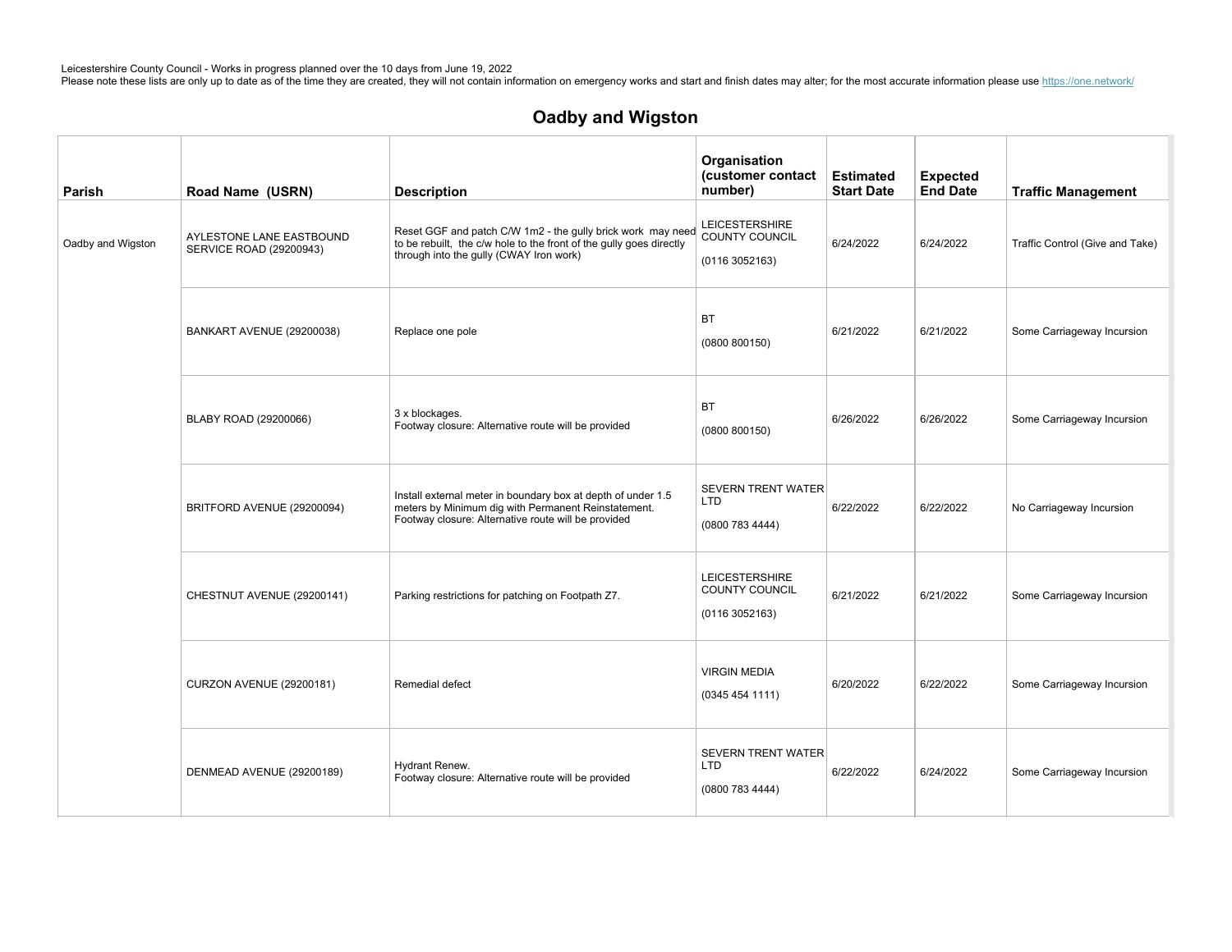| Parish            | Road Name (USRN)                                    | <b>Description</b>                                                                                                                                                            | Organisation<br>(customer contact<br>number)               | <b>Estimated</b><br><b>Start Date</b> | <b>Expected</b><br><b>End Date</b> | <b>Traffic Management</b>       |
|-------------------|-----------------------------------------------------|-------------------------------------------------------------------------------------------------------------------------------------------------------------------------------|------------------------------------------------------------|---------------------------------------|------------------------------------|---------------------------------|
| Oadby and Wigston | AYLESTONE LANE EASTBOUND<br>SERVICE ROAD (29200943) | Reset GGF and patch C/W 1m2 - the gully brick work may need<br>to be rebuilt, the c/w hole to the front of the gully goes directly<br>through into the gully (CWAY Iron work) | <b>LEICESTERSHIRE</b><br>COUNTY COUNCIL<br>(01163052163)   | 6/24/2022                             | 6/24/2022                          | Traffic Control (Give and Take) |
|                   | BANKART AVENUE (29200038)                           | Replace one pole                                                                                                                                                              | <b>BT</b><br>(0800 800150)                                 | 6/21/2022                             | 6/21/2022                          | Some Carriageway Incursion      |
|                   | BLABY ROAD (29200066)                               | 3 x blockages.<br>Footway closure: Alternative route will be provided                                                                                                         | BT<br>(0800 800150)                                        | 6/26/2022                             | 6/26/2022                          | Some Carriageway Incursion      |
|                   | BRITFORD AVENUE (29200094)                          | Install external meter in boundary box at depth of under 1.5<br>meters by Minimum dig with Permanent Reinstatement.<br>Footway closure: Alternative route will be provided    | <b>SEVERN TRENT WATER</b><br><b>LTD</b><br>(0800 783 4444) | 6/22/2022                             | 6/22/2022                          | No Carriageway Incursion        |
|                   | CHESTNUT AVENUE (29200141)                          | Parking restrictions for patching on Footpath Z7.                                                                                                                             | <b>LEICESTERSHIRE</b><br>COUNTY COUNCIL<br>(01163052163)   | 6/21/2022                             | 6/21/2022                          | Some Carriageway Incursion      |
|                   | <b>CURZON AVENUE (29200181)</b>                     | Remedial defect                                                                                                                                                               | <b>VIRGIN MEDIA</b><br>(03454541111)                       | 6/20/2022                             | 6/22/2022                          | Some Carriageway Incursion      |
|                   | DENMEAD AVENUE (29200189)                           | Hydrant Renew.<br>Footway closure: Alternative route will be provided                                                                                                         | <b>SEVERN TRENT WATER</b><br>LTD<br>(0800 783 4444)        | 6/22/2022                             | 6/24/2022                          | Some Carriageway Incursion      |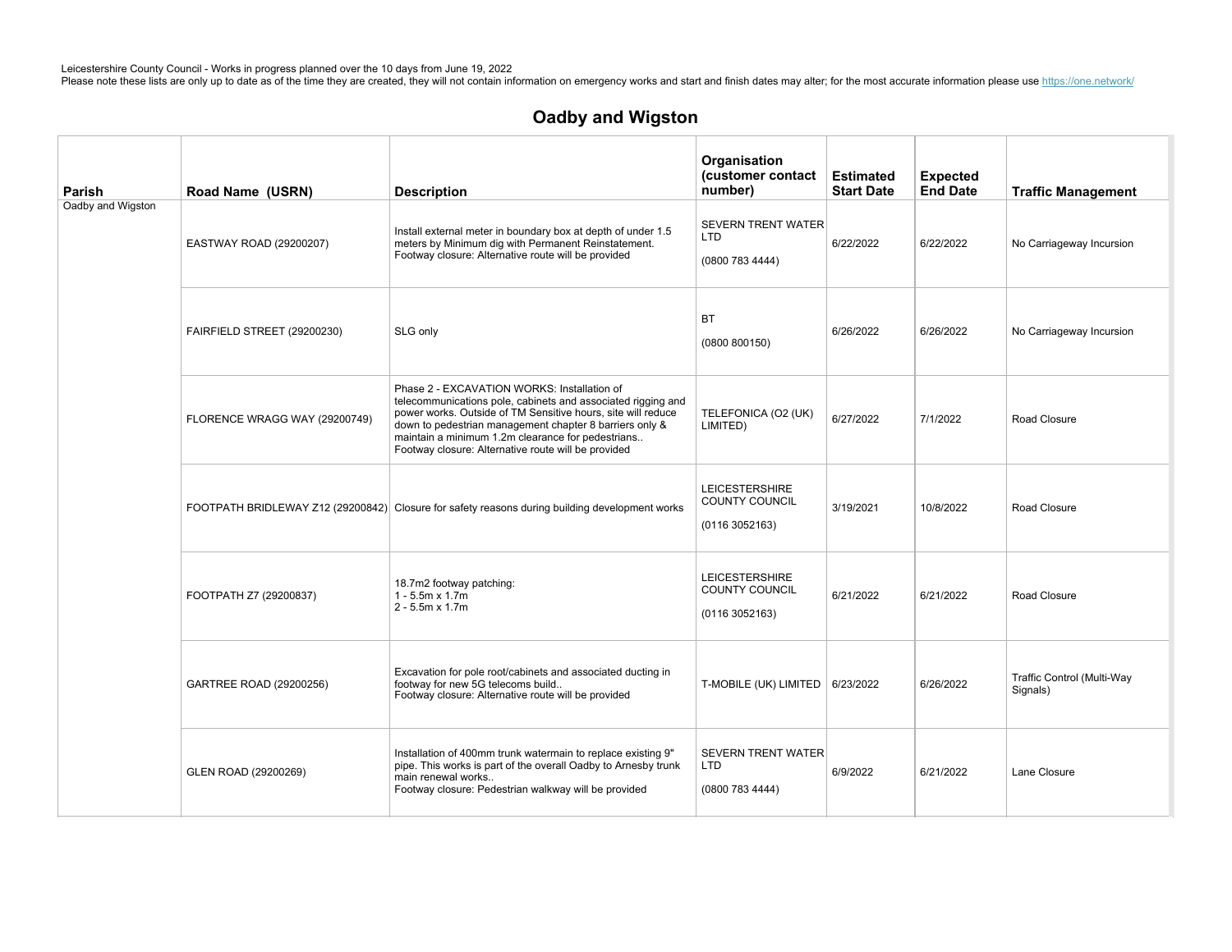| Parish            | Road Name (USRN)              | <b>Description</b>                                                                                                                                                                                                                                                                                                                                 | Organisation<br>(customer contact<br>number)               | <b>Estimated</b><br><b>Start Date</b> | <b>Expected</b><br><b>End Date</b> | <b>Traffic Management</b>              |
|-------------------|-------------------------------|----------------------------------------------------------------------------------------------------------------------------------------------------------------------------------------------------------------------------------------------------------------------------------------------------------------------------------------------------|------------------------------------------------------------|---------------------------------------|------------------------------------|----------------------------------------|
| Oadby and Wigston | EASTWAY ROAD (29200207)       | Install external meter in boundary box at depth of under 1.5<br>meters by Minimum dig with Permanent Reinstatement.<br>Footway closure: Alternative route will be provided                                                                                                                                                                         | <b>SEVERN TRENT WATER</b><br><b>LTD</b><br>(0800 783 4444) | 6/22/2022                             | 6/22/2022                          | No Carriageway Incursion               |
|                   | FAIRFIELD STREET (29200230)   | SLG only                                                                                                                                                                                                                                                                                                                                           | <b>BT</b><br>(0800 800150)                                 | 6/26/2022                             | 6/26/2022                          | No Carriageway Incursion               |
|                   | FLORENCE WRAGG WAY (29200749) | Phase 2 - EXCAVATION WORKS: Installation of<br>telecommunications pole, cabinets and associated rigging and<br>power works. Outside of TM Sensitive hours, site will reduce<br>down to pedestrian management chapter 8 barriers only &<br>maintain a minimum 1.2m clearance for pedestrians<br>Footway closure: Alternative route will be provided | TELEFONICA (O2 (UK)<br>LIMITED)                            | 6/27/2022                             | 7/1/2022                           | Road Closure                           |
|                   |                               | FOOTPATH BRIDLEWAY Z12 (29200842) Closure for safety reasons during building development works                                                                                                                                                                                                                                                     | <b>LEICESTERSHIRE</b><br>COUNTY COUNCIL<br>(01163052163)   | 3/19/2021                             | 10/8/2022                          | Road Closure                           |
|                   | FOOTPATH Z7 (29200837)        | 18.7m2 footway patching:<br>$1 - 5.5m \times 1.7m$<br>$2 - 5.5m \times 1.7m$                                                                                                                                                                                                                                                                       | <b>LEICESTERSHIRE</b><br>COUNTY COUNCIL<br>(01163052163)   | 6/21/2022                             | 6/21/2022                          | Road Closure                           |
|                   | GARTREE ROAD (29200256)       | Excavation for pole root/cabinets and associated ducting in<br>footway for new 5G telecoms build<br>Footway closure: Alternative route will be provided                                                                                                                                                                                            | T-MOBILE (UK) LIMITED   6/23/2022                          |                                       | 6/26/2022                          | Traffic Control (Multi-Way<br>Signals) |
|                   | GLEN ROAD (29200269)          | Installation of 400mm trunk watermain to replace existing 9"<br>pipe. This works is part of the overall Oadby to Arnesby trunk<br>main renewal works<br>Footway closure: Pedestrian walkway will be provided                                                                                                                                       | <b>SEVERN TRENT WATER</b><br><b>LTD</b><br>(0800 783 4444) | 6/9/2022                              | 6/21/2022                          | Lane Closure                           |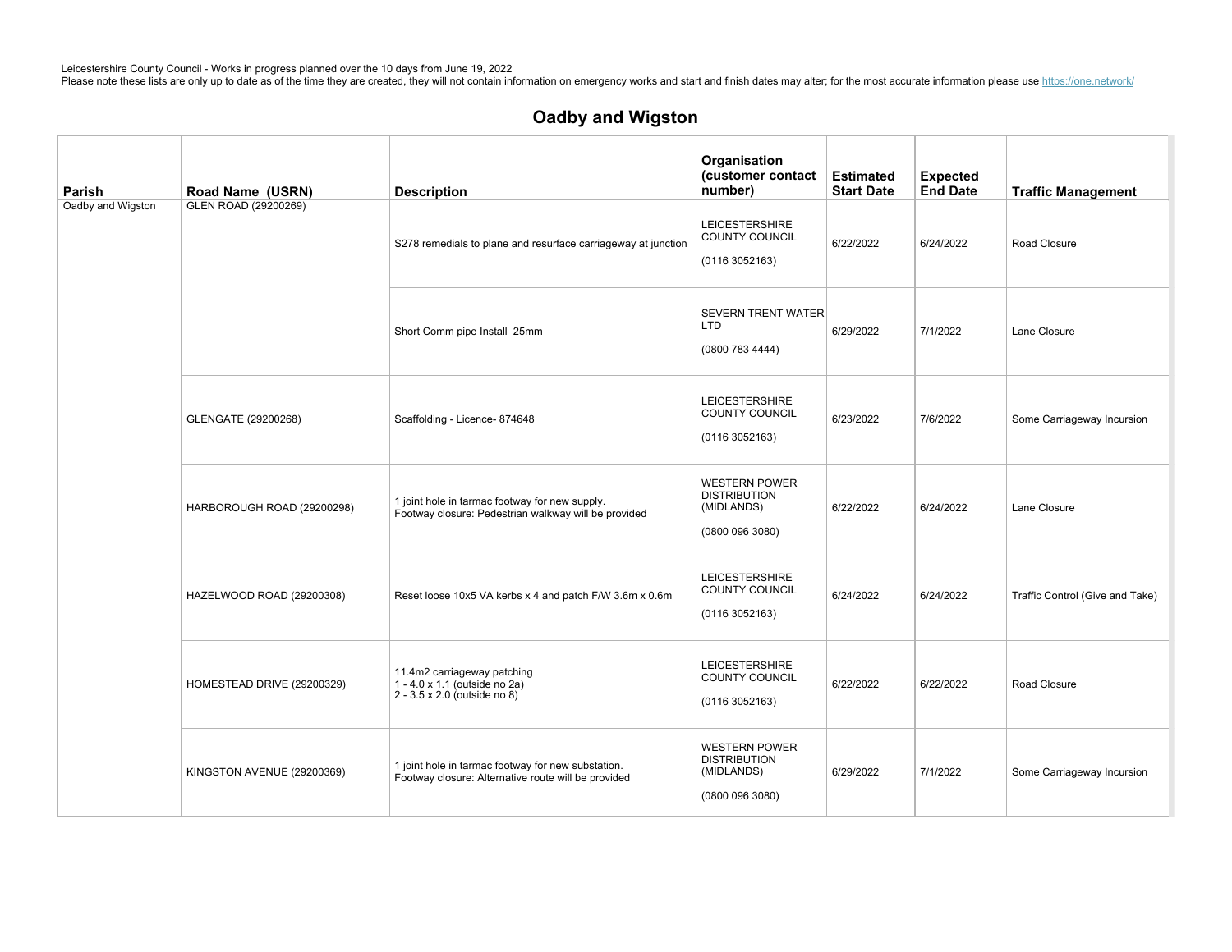| Parish            | Road Name (USRN)           | <b>Description</b>                                                                                        | Organisation<br>(customer contact<br>number)                               | <b>Estimated</b><br><b>Start Date</b> | <b>Expected</b><br><b>End Date</b> | <b>Traffic Management</b>       |
|-------------------|----------------------------|-----------------------------------------------------------------------------------------------------------|----------------------------------------------------------------------------|---------------------------------------|------------------------------------|---------------------------------|
| Oadby and Wigston | GLEN ROAD (29200269)       | S278 remedials to plane and resurface carriageway at junction                                             | <b>LEICESTERSHIRE</b><br>COUNTY COUNCIL<br>(01163052163)                   | 6/22/2022                             | 6/24/2022                          | Road Closure                    |
|                   |                            | Short Comm pipe Install 25mm                                                                              | <b>SEVERN TRENT WATER</b><br><b>LTD</b><br>(0800 783 4444)                 | 6/29/2022                             | 7/1/2022                           | Lane Closure                    |
|                   | GLENGATE (29200268)        | Scaffolding - Licence- 874648                                                                             | <b>LEICESTERSHIRE</b><br>COUNTY COUNCIL<br>(01163052163)                   | 6/23/2022                             | 7/6/2022                           | Some Carriageway Incursion      |
|                   | HARBOROUGH ROAD (29200298) | 1 joint hole in tarmac footway for new supply.<br>Footway closure: Pedestrian walkway will be provided    | <b>WESTERN POWER</b><br><b>DISTRIBUTION</b><br>(MIDLANDS)<br>(08000963080) | 6/22/2022                             | 6/24/2022                          | Lane Closure                    |
|                   | HAZELWOOD ROAD (29200308)  | Reset loose 10x5 VA kerbs x 4 and patch F/W 3.6m x 0.6m                                                   | <b>LEICESTERSHIRE</b><br>COUNTY COUNCIL<br>(01163052163)                   | 6/24/2022                             | 6/24/2022                          | Traffic Control (Give and Take) |
|                   | HOMESTEAD DRIVE (29200329) | 11.4m2 carriageway patching<br>1 - 4.0 x 1.1 (outside no 2a)<br>2 - 3.5 x 2.0 (outside no 8)              | <b>LEICESTERSHIRE</b><br>COUNTY COUNCIL<br>(01163052163)                   | 6/22/2022                             | 6/22/2022                          | Road Closure                    |
|                   | KINGSTON AVENUE (29200369) | 1 joint hole in tarmac footway for new substation.<br>Footway closure: Alternative route will be provided | <b>WESTERN POWER</b><br><b>DISTRIBUTION</b><br>(MIDLANDS)<br>(08000963080) | 6/29/2022                             | 7/1/2022                           | Some Carriageway Incursion      |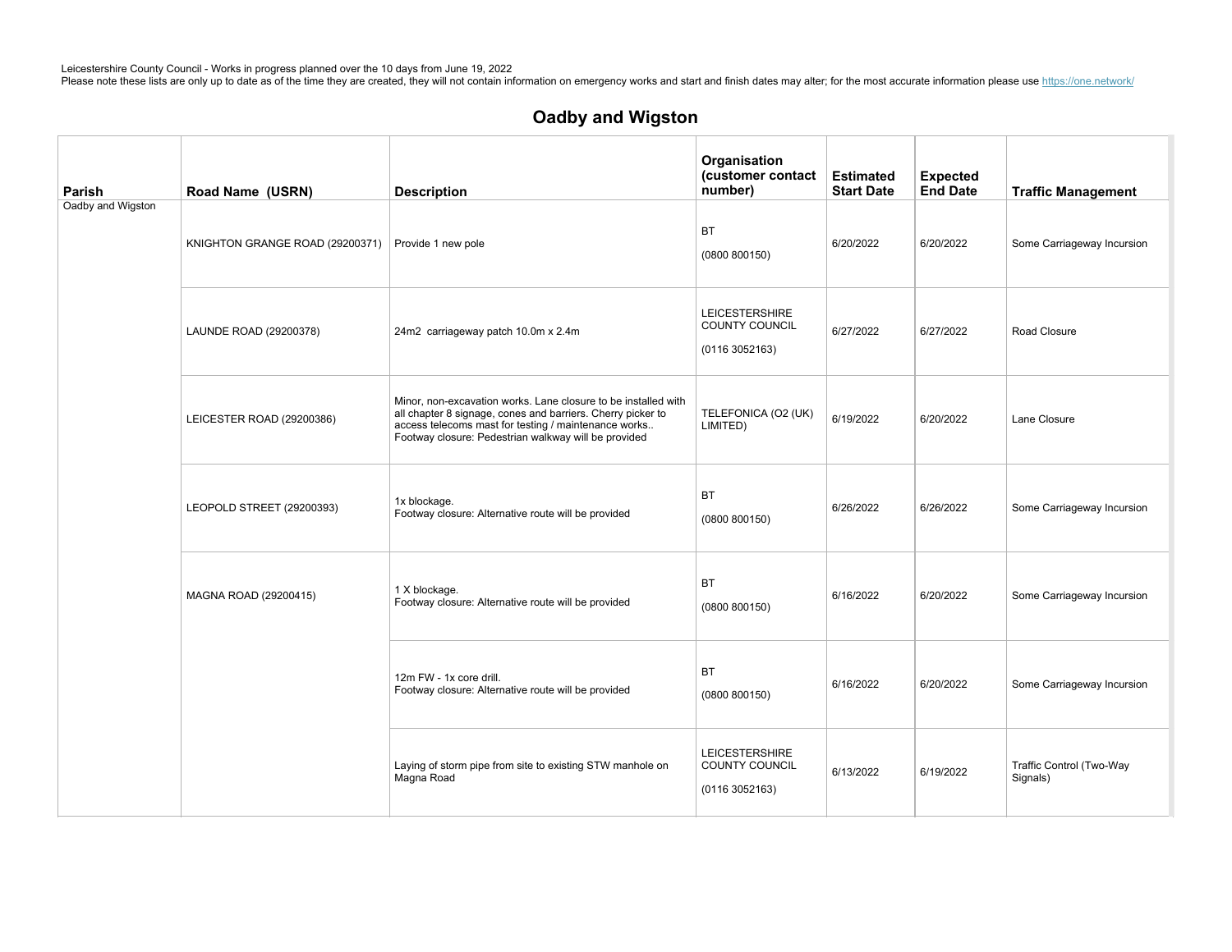| Parish            | Road Name (USRN)                | <b>Description</b>                                                                                                                                                                                                                            | Organisation<br>(customer contact<br>number)             | <b>Estimated</b><br><b>Start Date</b> | <b>Expected</b><br><b>End Date</b> | <b>Traffic Management</b>            |
|-------------------|---------------------------------|-----------------------------------------------------------------------------------------------------------------------------------------------------------------------------------------------------------------------------------------------|----------------------------------------------------------|---------------------------------------|------------------------------------|--------------------------------------|
| Oadby and Wigston | KNIGHTON GRANGE ROAD (29200371) | Provide 1 new pole                                                                                                                                                                                                                            | <b>BT</b><br>(0800 800150)                               | 6/20/2022                             | 6/20/2022                          | Some Carriageway Incursion           |
|                   | LAUNDE ROAD (29200378)          | 24m2 carriageway patch 10.0m x 2.4m                                                                                                                                                                                                           | <b>LEICESTERSHIRE</b><br>COUNTY COUNCIL<br>(01163052163) | 6/27/2022                             | 6/27/2022                          | Road Closure                         |
|                   | LEICESTER ROAD (29200386)       | Minor, non-excavation works. Lane closure to be installed with<br>all chapter 8 signage, cones and barriers. Cherry picker to<br>access telecoms mast for testing / maintenance works<br>Footway closure: Pedestrian walkway will be provided | TELEFONICA (O2 (UK)<br>LIMITED)                          | 6/19/2022                             | 6/20/2022                          | Lane Closure                         |
|                   | LEOPOLD STREET (29200393)       | 1x blockage.<br>Footway closure: Alternative route will be provided                                                                                                                                                                           | <b>BT</b><br>(0800 800150)                               | 6/26/2022                             | 6/26/2022                          | Some Carriageway Incursion           |
|                   | MAGNA ROAD (29200415)           | 1 X blockage.<br>Footway closure: Alternative route will be provided                                                                                                                                                                          | <b>BT</b><br>(0800 800150)                               | 6/16/2022                             | 6/20/2022                          | Some Carriageway Incursion           |
|                   |                                 | 12m FW - 1x core drill.<br>Footway closure: Alternative route will be provided                                                                                                                                                                | <b>BT</b><br>(0800 800150)                               | 6/16/2022                             | 6/20/2022                          | Some Carriageway Incursion           |
|                   |                                 | Laying of storm pipe from site to existing STW manhole on<br>Magna Road                                                                                                                                                                       | <b>LEICESTERSHIRE</b><br>COUNTY COUNCIL<br>(01163052163) | 6/13/2022                             | 6/19/2022                          | Traffic Control (Two-Way<br>Signals) |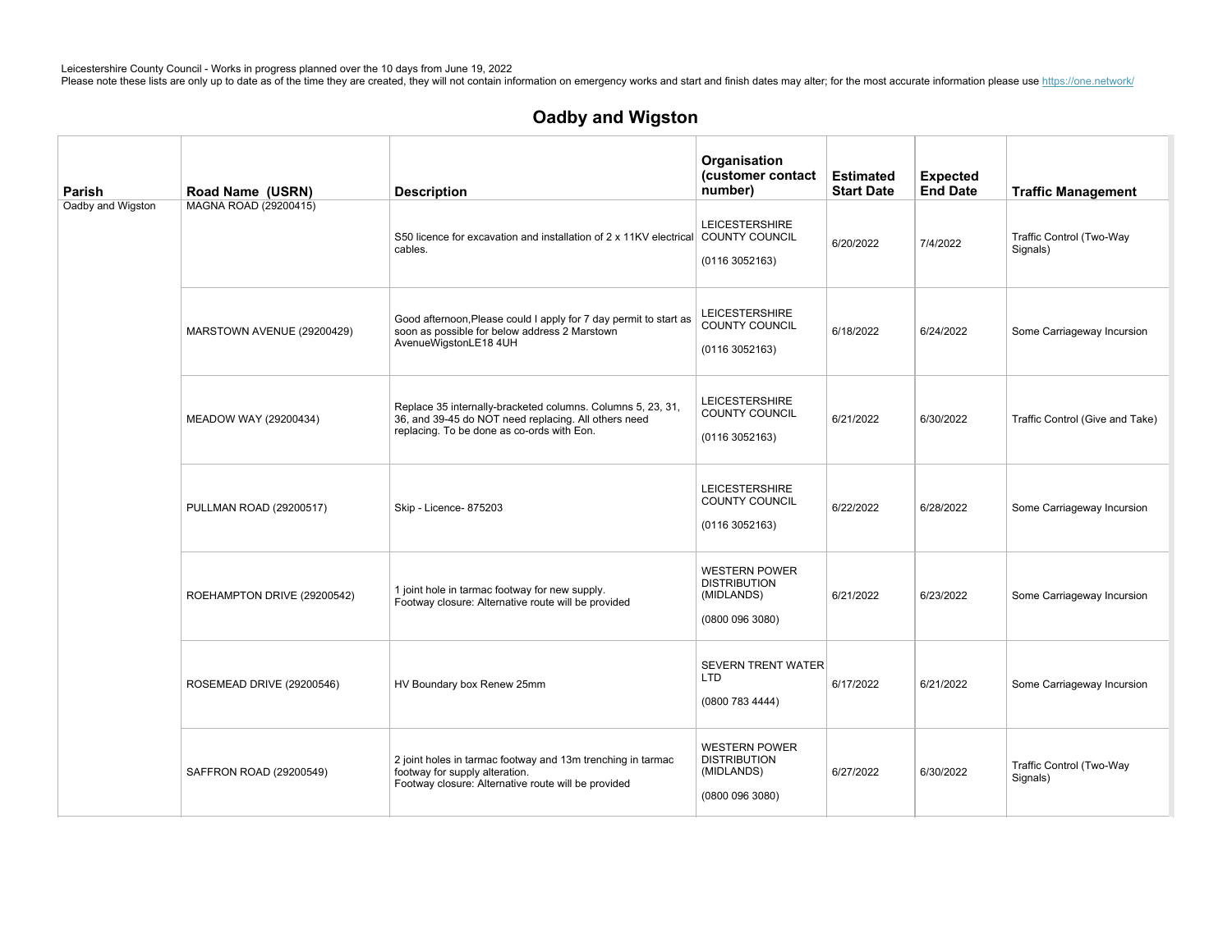| Parish            | Road Name (USRN)            | <b>Description</b>                                                                                                                                                | Organisation<br>(customer contact<br>number)                                 | <b>Estimated</b><br><b>Start Date</b> | <b>Expected</b><br><b>End Date</b> | <b>Traffic Management</b>            |
|-------------------|-----------------------------|-------------------------------------------------------------------------------------------------------------------------------------------------------------------|------------------------------------------------------------------------------|---------------------------------------|------------------------------------|--------------------------------------|
| Oadby and Wigston | MAGNA ROAD (29200415)       | S50 licence for excavation and installation of 2 x 11KV electrical COUNTY COUNCIL<br>cables.                                                                      | <b>LEICESTERSHIRE</b><br>(01163052163)                                       | 6/20/2022                             | 7/4/2022                           | Traffic Control (Two-Way<br>Signals) |
|                   | MARSTOWN AVENUE (29200429)  | Good afternoon, Please could I apply for 7 day permit to start as<br>soon as possible for below address 2 Marstown<br>AvenueWigstonLE18 4UH                       | <b>LEICESTERSHIRE</b><br>COUNTY COUNCIL<br>(01163052163)                     | 6/18/2022                             | 6/24/2022                          | Some Carriageway Incursion           |
|                   | MEADOW WAY (29200434)       | Replace 35 internally-bracketed columns. Columns 5, 23, 31,<br>36, and 39-45 do NOT need replacing. All others need<br>replacing. To be done as co-ords with Eon. | <b>LEICESTERSHIRE</b><br><b>COUNTY COUNCIL</b><br>(01163052163)              | 6/21/2022                             | 6/30/2022                          | Traffic Control (Give and Take)      |
|                   | PULLMAN ROAD (29200517)     | Skip - Licence- 875203                                                                                                                                            | <b>LEICESTERSHIRE</b><br>COUNTY COUNCIL<br>(0116 3052163)                    | 6/22/2022                             | 6/28/2022                          | Some Carriageway Incursion           |
|                   | ROEHAMPTON DRIVE (29200542) | 1 joint hole in tarmac footway for new supply.<br>Footway closure: Alternative route will be provided                                                             | <b>WESTERN POWER</b><br><b>DISTRIBUTION</b><br>(MIDLANDS)<br>(0800 096 3080) | 6/21/2022                             | 6/23/2022                          | Some Carriageway Incursion           |
|                   | ROSEMEAD DRIVE (29200546)   | HV Boundary box Renew 25mm                                                                                                                                        | <b>SEVERN TRENT WATER</b><br><b>LTD</b><br>(0800 783 4444)                   | 6/17/2022                             | 6/21/2022                          | Some Carriageway Incursion           |
|                   | SAFFRON ROAD (29200549)     | 2 joint holes in tarmac footway and 13m trenching in tarmac<br>footway for supply alteration.<br>Footway closure: Alternative route will be provided              | <b>WESTERN POWER</b><br><b>DISTRIBUTION</b><br>(MIDLANDS)<br>(0800 096 3080) | 6/27/2022                             | 6/30/2022                          | Traffic Control (Two-Way<br>Signals) |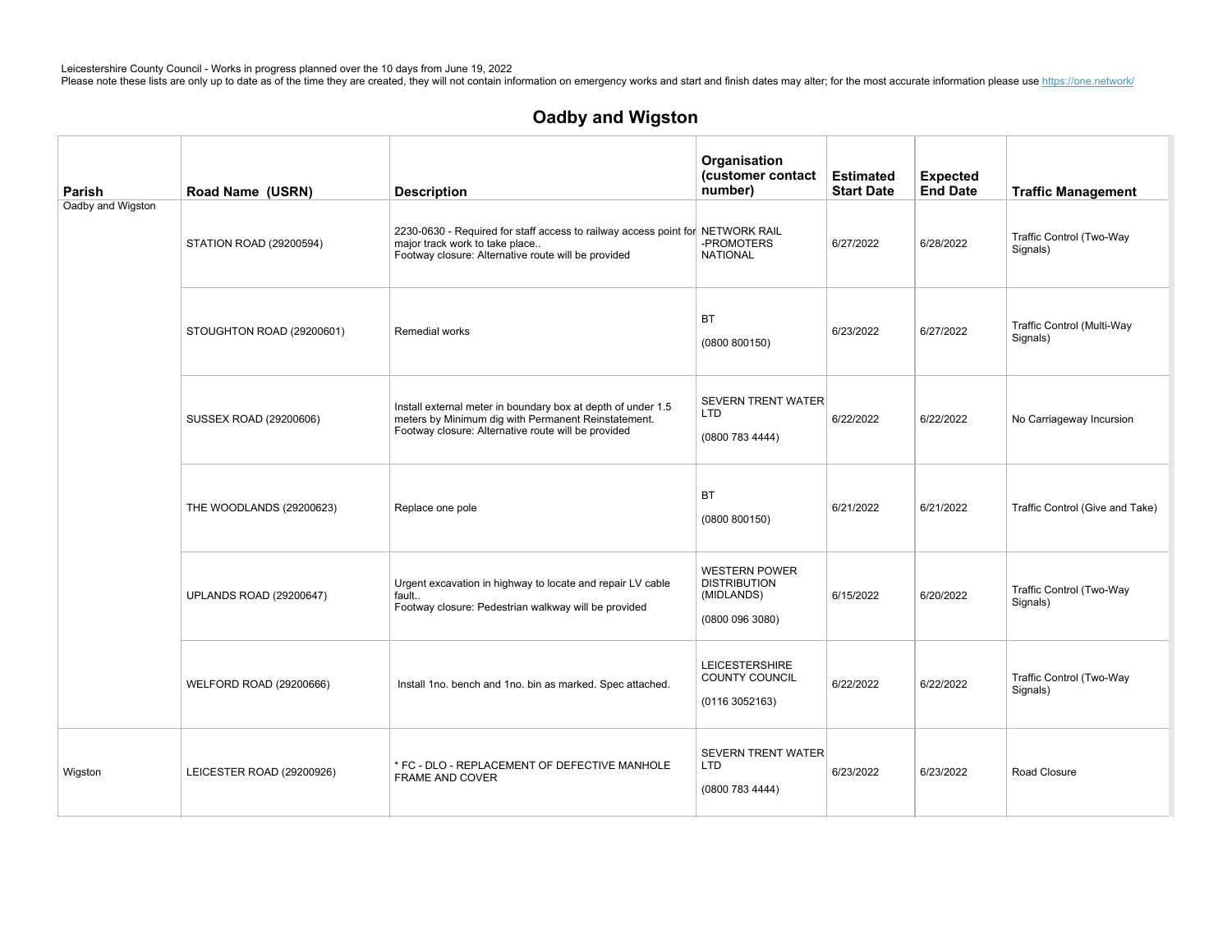| Parish            | Road Name (USRN)               | <b>Description</b>                                                                                                                                                         | Organisation<br>(customer contact<br>number)                                 | <b>Estimated</b><br><b>Start Date</b> | <b>Expected</b><br><b>End Date</b> | <b>Traffic Management</b>              |
|-------------------|--------------------------------|----------------------------------------------------------------------------------------------------------------------------------------------------------------------------|------------------------------------------------------------------------------|---------------------------------------|------------------------------------|----------------------------------------|
| Oadby and Wigston | STATION ROAD (29200594)        | 2230-0630 - Required for staff access to railway access point for NETWORK RAIL<br>major track work to take place<br>Footway closure: Alternative route will be provided    | -PROMOTERS<br><b>NATIONAL</b>                                                | 6/27/2022                             | 6/28/2022                          | Traffic Control (Two-Way<br>Signals)   |
|                   | STOUGHTON ROAD (29200601)      | Remedial works                                                                                                                                                             | <b>BT</b><br>(0800 800150)                                                   | 6/23/2022                             | 6/27/2022                          | Traffic Control (Multi-Way<br>Signals) |
|                   | SUSSEX ROAD (29200606)         | Install external meter in boundary box at depth of under 1.5<br>meters by Minimum dig with Permanent Reinstatement.<br>Footway closure: Alternative route will be provided | <b>SEVERN TRENT WATER</b><br>LTD<br>(0800 783 4444)                          | 6/22/2022                             | 6/22/2022                          | No Carriageway Incursion               |
|                   | THE WOODLANDS (29200623)       | Replace one pole                                                                                                                                                           | <b>BT</b><br>(0800 800150)                                                   | 6/21/2022                             | 6/21/2022                          | Traffic Control (Give and Take)        |
|                   | <b>UPLANDS ROAD (29200647)</b> | Urgent excavation in highway to locate and repair LV cable<br>fault<br>Footway closure: Pedestrian walkway will be provided                                                | <b>WESTERN POWER</b><br><b>DISTRIBUTION</b><br>(MIDLANDS)<br>(0800 096 3080) | 6/15/2022                             | 6/20/2022                          | Traffic Control (Two-Way<br>Signals)   |
|                   | WELFORD ROAD (29200666)        | Install 1no. bench and 1no. bin as marked. Spec attached.                                                                                                                  | <b>LEICESTERSHIRE</b><br><b>COUNTY COUNCIL</b><br>(01163052163)              | 6/22/2022                             | 6/22/2022                          | Traffic Control (Two-Way<br>Signals)   |
| Wigston           | LEICESTER ROAD (29200926)      | * FC - DLO - REPLACEMENT OF DEFECTIVE MANHOLE<br><b>FRAME AND COVER</b>                                                                                                    | <b>SEVERN TRENT WATER</b><br><b>LTD</b><br>(0800 783 4444)                   | 6/23/2022                             | 6/23/2022                          | Road Closure                           |